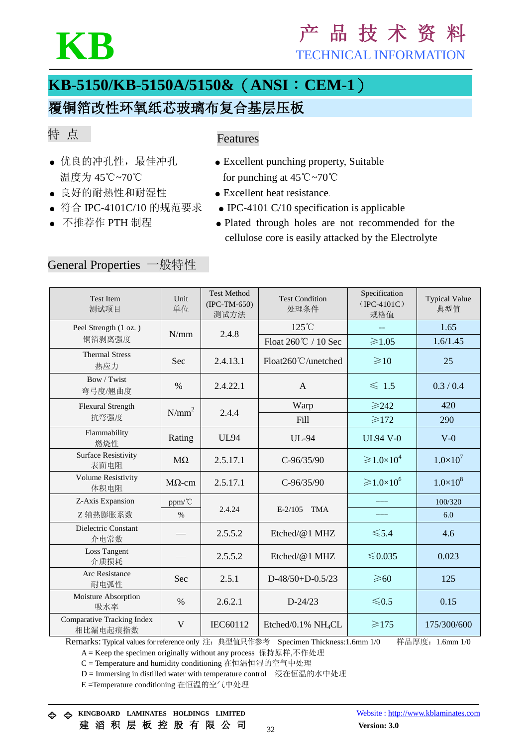

# **KB** <sup>产</sup> <sup>品</sup> <sup>技</sup> <sup>术</sup> <sup>资</sup> <sup>料</sup> TECHNICAL INFORMATION

# **KB-5150/KB-5150A/5150&**(**ANSI**:**CEM-1**)

## 覆铜箔改性环氧纸芯玻璃布复合基层压板

### 特 点

#### Features

- 
- 良好的耐热性和耐湿性 → Excellent heat resistance.
- 
- 
- 优良的冲孔性, 最佳冲孔 Excellent punching property, Suitable 温度为 45℃~70℃ for punching at 45℃~70℃
	-
- 符合 IPC-4101C/10 的规范要求 IPC-4101 C/10 specification is applicable
- 不推荐作 PTH 制程 Plated through holes are not recommended for the cellulose core is easily attacked by the Electrolyte

### General Properties 一般特性

| <b>Test Item</b><br>测试项目                      | Unit<br>单位    | <b>Test Method</b><br>$(IPC-TM-650)$<br>测试方法 | <b>Test Condition</b><br>处理条件  | Specification<br>$(IPC-4101C)$<br>规格值 | <b>Typical Value</b><br>典型值 |
|-----------------------------------------------|---------------|----------------------------------------------|--------------------------------|---------------------------------------|-----------------------------|
| Peel Strength (1 oz.)                         | N/mm          | 2.4.8                                        | 125°C                          |                                       | 1.65                        |
| 铜箔剥离强度                                        |               |                                              | Float 260℃ / 10 Sec            | $\geqslant$ 1.05                      | 1.6/1.45                    |
| <b>Thermal Stress</b><br>热应力                  | Sec           | 2.4.13.1                                     | Float260℃/unetched             | $\geq 10$                             | 25                          |
| Bow / Twist<br>弯弓度/翘曲度                        | $\frac{0}{0}$ | 2.4.22.1                                     | $\mathsf{A}$                   | $\leq 1.5$                            | 0.3/0.4                     |
| <b>Flexural Strength</b>                      | $N/mm^2$      | 2.4.4                                        | Warp                           | $\geqslant$ 242                       | 420                         |
| 抗弯强度                                          |               |                                              | Fill                           | $\geq 172$                            | 290                         |
| Flammability<br>燃烧性                           | Rating        | <b>UL94</b>                                  | UL-94                          | <b>UL94 V-0</b>                       | $V-0$                       |
| <b>Surface Resistivity</b><br>表面电阻            | $M\Omega$     | 2.5.17.1                                     | $C - 96/35/90$                 | $\geqslant 1.0\times10^4$             | $1.0\times10^{7}$           |
| <b>Volume Resistivity</b><br>体积电阻             | $M\Omega$ -cm | 2.5.17.1                                     | $C - 96/35/90$                 | $\geqslant 1.0\times10^6$             | $1.0\times10^{8}$           |
| Z-Axis Expansion                              | ppm/°C        |                                              |                                |                                       | 100/320                     |
| Z轴热膨胀系数                                       | $\%$          | 2.4.24                                       | <b>TMA</b><br>$E-2/105$        | $---$                                 | 6.0                         |
| Dielectric Constant<br>介电常数                   |               | 2.5.5.2                                      | Etched/ $@1$ MHZ               | $\leq 5.4$                            | 4.6                         |
| <b>Loss Tangent</b><br>介质损耗                   |               | 2.5.5.2                                      | Etched/@1 MHZ                  | ≤ $0.035$                             | 0.023                       |
| Arc Resistance<br>耐电弧性                        | Sec           | 2.5.1                                        | D-48/50+D-0.5/23               | $\geqslant 60$                        | 125                         |
| Moisture Absorption<br>吸水率                    | $\%$          | 2.6.2.1                                      | $D-24/23$                      | $\leq 0.5$                            | 0.15                        |
| <b>Comparative Tracking Index</b><br>相比漏电起痕指数 | V             | IEC60112                                     | Etched/0.1% NH <sub>4</sub> CL | $\geqslant$ 175                       | 175/300/600                 |

Remarks: Typical values for reference only 注: 典型值只作参考 Specimen Thickness: 1.6mm 1/0 样品厚度: 1.6mm 1/0

A = Keep the specimen originally without any process 保持原样,不作处理

C = Temperature and humidity conditioning 在恒温恒湿的空气中处理

D = Immersing in distilled water with temperature control 浸在恒温的水中处理

E =Temperature conditioning 在恒温的空气中处理

**KINGBOARD LAMINATES HOLDINGS LIMITED** Website [: http://www.kblaminates.com](http://www.kblaminates.com/)